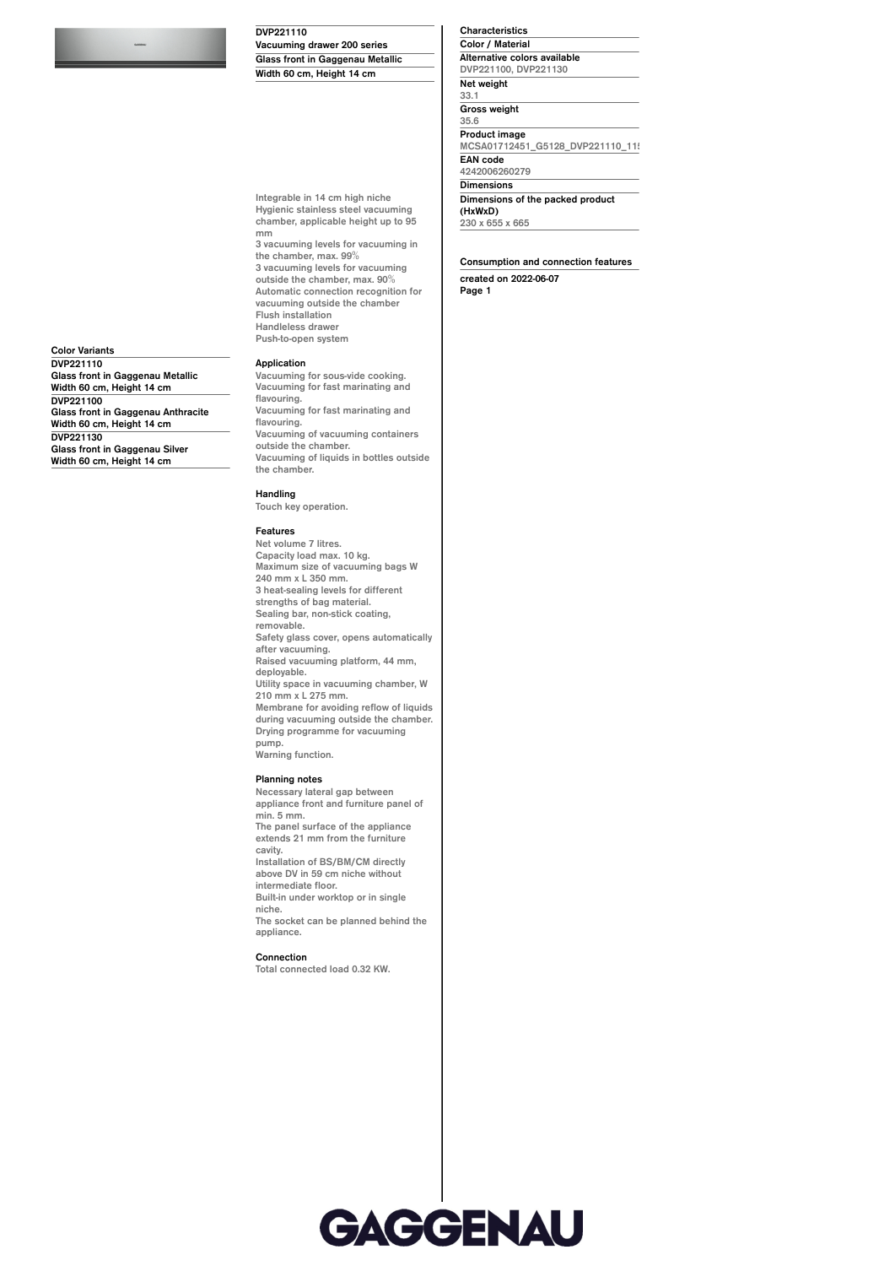**DVP221110**

**Vacuuming drawer 200 series Glass front in Gaggenau Metallic Width 60 cm, Height 14 cm**

**Integrable in 14 cm high niche Hygienic stainless steel vacuuming chamber, applicable height up to 95**

**the chamber, max. 99% 3 vacuuming levels for vacuuming outside the chamber, max. 90% Automatic connection recognition for vacuuming outside the chamber**

**3 vacuuming levels for vacuuming in**

**Characteristics Color / Material Alternative colors available DVP221100, DVP221130 Net weight 33.1 Gross weight 35.6 Product image** MCSA01712451\_G5128\_DVP221110\_11 **EAN code 4242006260279 Dimensions Dimensions of the packed product (HxWxD) 230 x 655 x 665**

**Consumption and connection features created on 2022-06-07 Page 1**

**Color Variants DVP221110 Glass front in Gaggenau Metallic Width 60 cm, Height 14 cm DVP221100 Glass front in Gaggenau Anthracite Width 60 cm, Height 14 cm DVP221130 Glass front in Gaggenau Silver Width 60 cm, Height 14 cm**

## **Application**

**Flush installation Handleless drawer Push-to-open system**

**mm**

**Vacuuming for sous-vide cooking. Vacuuming for fast marinating and flavouring. Vacuuming for fast marinating and flavouring. Vacuuming of vacuuming containers outside the chamber. Vacuuming of liquids in bottles outside the chamber.**

## **Handling**

**Touch key operation.**

## **Features**

**Net volume 7 litres. Capacity load max. 10 kg. Maximum size of vacuuming bags W 240 mm x L 350 mm. 3 heat-sealing levels for different strengths of bag material. Sealing bar, non-stick coating, removable. Safety glass cover, opens automatically after vacuuming. Raised vacuuming platform, 44 mm, deployable. Utility space in vacuuming chamber, W 210 mm x L 275 mm. Membrane for avoiding reflow of liquids during vacuuming outside the chamber. Drying programme for vacuuming pump. Warning function.**

## **Planning notes**

**Necessary lateral gap between appliance front and furniture panel of min. 5 mm. The panel surface of the appliance extends 21 mm from the furniture cavity. Installation of BS/BM/CM directly above DV in 59 cm niche without intermediate floor. Built-in under worktop or in single niche. The socket can be planned behind the appliance. Connection Total connected load 0.32 KW.**